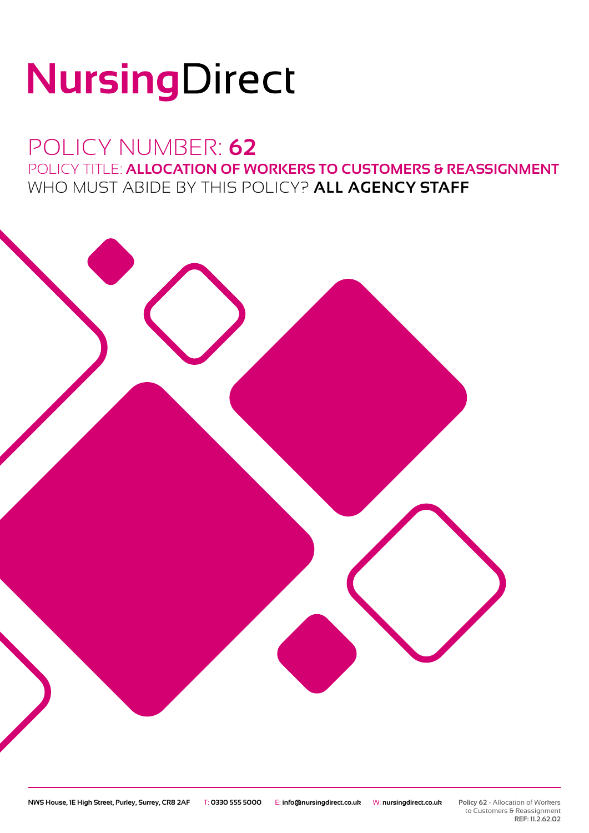# NursingDirect

## POLICY NUMBER: **62** POLICY TITLE: **ALLOCATION OF WORKERS TO CUSTOMERS & REASSIGNMENT** WHO MUST ABIDE BY THIS POLICY? **ALL AGENCY STAFF**